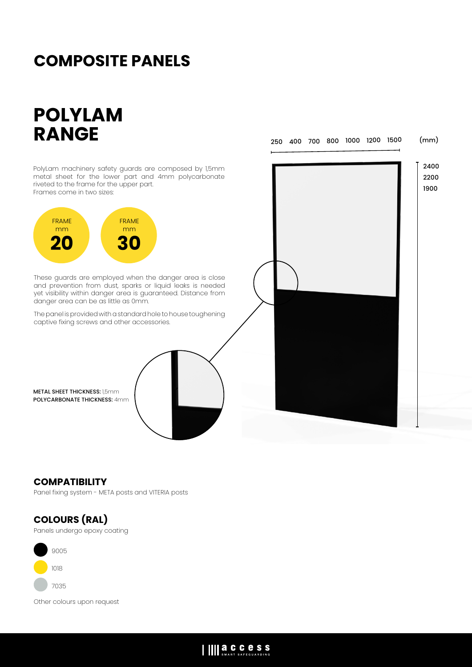## **COMPOSITE PANELS**

# **POLYLAM RANGE**

250 400 700 800 1000 1200 1500 (mm)

PolyLam machinery safety guards are composed by 1,5mm metal sheet for the lower part and 4mm polycarbonate riveted to the frame for the upper part. Frames come in two sizes:



These guards are employed when the danger area is close and prevention from dust, sparks or liquid leaks is needed yet visibility within danger area is guaranteed. Distance from danger area can be as little as 0mm.

The panel is provided with a standard hole to house toughening captive fixing screws and other accessories.

METAL SHEET THICKNESS: 1,5mm POLYCARBONATE THICKNESS: 4mm



### **COMPATIBILITY**

Panel fixing system - META posts and VITERIA posts

### **COLOURS (RAL)**

Panels undergo epoxy coating



Other colours upon request

### IIII a.C.C.C.S.S